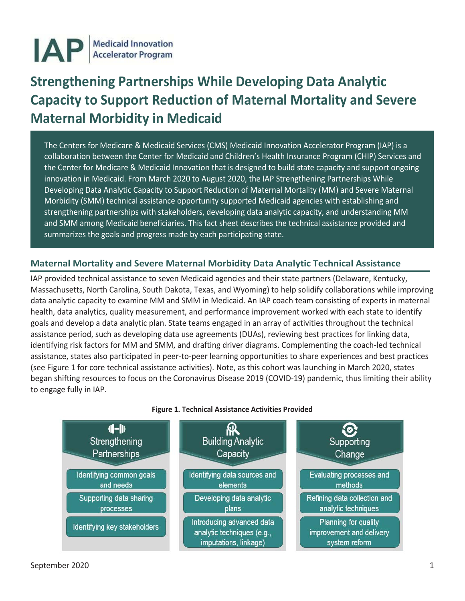

# **Strengthening Partnerships While Developing Data Analytic Capacity to Support Reduction of Maternal Mortality and Severe Maternal Morbidity in Medicaid**

The Centers for Medicare & Medicaid Services (CMS) Medicaid Innovation Accelerator Program (IAP) is a collaboration between the Center for Medicaid and Children's Health Insurance Program (CHIP) Services and the Center for Medicare & Medicaid Innovation that is designed to build state capacity and support ongoing innovation in Medicaid. From March 2020 to August 2020, the IAP Strengthening Partnerships While Developing Data Analytic Capacity to Support Reduction of Maternal Mortality (MM) and Severe Maternal Morbidity (SMM) technical assistance opportunity supported Medicaid agencies with establishing and strengthening partnerships with stakeholders, developing data analytic capacity, and understanding MM and SMM among Medicaid beneficiaries. This fact sheet describes the technical assistance provided and summarizes the goals and progress made by each participating state.

# **Maternal Mortality and Severe Maternal Morbidity Data Analytic Technical Assistance**

IAP provided technical assistance to seven Medicaid agencies and their state partners (Delaware, Kentucky, Massachusetts, North Carolina, South Dakota, Texas, and Wyoming) to help solidify collaborations while improving data analytic capacity to examine MM and SMM in Medicaid. An IAP coach team consisting of experts in maternal health, data analytics, quality measurement, and performance improvement worked with each state to identify goals and develop a data analytic plan. State teams engaged in an array of activities throughout the technical assistance period, such as developing data use agreements (DUAs), reviewing best practices for linking data, identifying risk factors for MM and SMM, and drafting driver diagrams. Complementing the coach-led technical assistance, states also participated in peer-to-peer learning opportunities to share experiences and best practices (see Figure 1 for core technical assistance activities). Note, as this cohort was launching in March 2020, states began shifting resources to focus on the Coronavirus Disease 2019 (COVID-19) pandemic, thus limiting their ability to engage fully in IAP.



#### **Figure 1. Technical Assistance Activities Provided**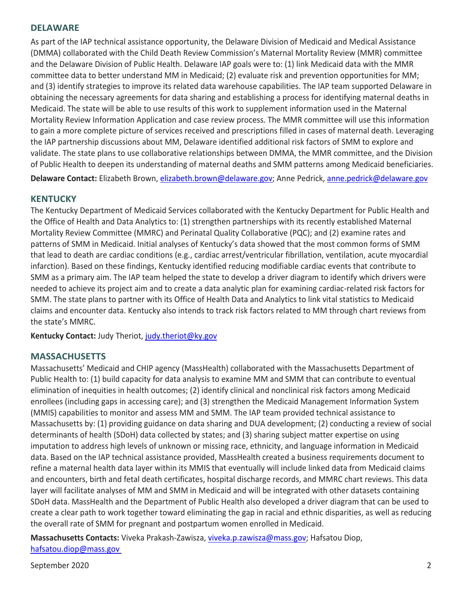## **DELAWARE**

As part of the IAP technical assistance opportunity, the Delaware Division of Medicaid and Medical Assistance (DMMA) collaborated with the Child Death Review Commission's Maternal Mortality Review (MMR) committee and the Delaware Division of Public Health. Delaware IAP goals were to: (1) link Medicaid data with the MMR committee data to better understand MM in Medicaid; (2) evaluate risk and prevention opportunities for MM; and (3) identify strategies to improve its related data warehouse capabilities. The IAP team supported Delaware in obtaining the necessary agreements for data sharing and establishing a process for identifying maternal deaths in Medicaid. The state will be able to use results of this work to supplement information used in the Maternal Mortality Review Information Application and case review process. The MMR committee will use this information to gain a more complete picture of services received and prescriptions filled in cases of maternal death. Leveraging the IAP partnership discussions about MM, Delaware identified additional risk factors of SMM to explore and validate. The state plans to use collaborative relationships between DMMA, the MMR committee, and the Division of Public Health to deepen its understanding of maternal deaths and SMM patterns among Medicaid beneficiaries. **Delaware Contact:** Elizabeth Brown, [elizabeth.brown@delaware.gov;](mailto:elizabeth.brown@delaware.gov) Anne Pedrick[, anne.pedrick@delaware.gov](mailto:anne.pedrick@delaware.gov)

#### **KENTUCKY**

The Kentucky Department of Medicaid Services collaborated with the Kentucky Department for Public Health and the Office of Health and Data Analytics to: (1) strengthen partnerships with its recently established Maternal Mortality Review Committee (MMRC) and Perinatal Quality Collaborative (PQC); and (2) examine rates and patterns of SMM in Medicaid. Initial analyses of Kentucky's data showed that the most common forms of SMM that lead to death are cardiac conditions (e.g., cardiac arrest/ventricular fibrillation, ventilation, acute myocardial infarction). Based on these findings, Kentucky identified reducing modifiable cardiac events that contribute to SMM as a primary aim. The IAP team helped the state to develop a driver diagram to identify which drivers were needed to achieve its project aim and to create a data analytic plan for examining cardiac-related risk factors for SMM. The state plans to partner with its Office of Health Data and Analytics to link vital statistics to Medicaid claims and encounter data. Kentucky also intends to track risk factors related to MM through chart reviews from the state's MMRC.

**Kentucky Contact:** Judy Theriot, [judy.theriot@ky.gov](mailto:judy.theriot@ky.gov)

#### **MASSACHUSETTS**

Massachusetts' Medicaid and CHIP agency (MassHealth) collaborated with the Massachusetts Department of Public Health to: (1) build capacity for data analysis to examine MM and SMM that can contribute to eventual elimination of inequities in health outcomes; (2) identify clinical and nonclinical risk factors among Medicaid enrollees (including gaps in accessing care); and (3) strengthen the Medicaid Management Information System (MMIS) capabilities to monitor and assess MM and SMM. The IAP team provided technical assistance to Massachusetts by: (1) providing guidance on data sharing and DUA development; (2) conducting a review of social determinants of health (SDoH) data collected by states; and (3) sharing subject matter expertise on using imputation to address high levels of unknown or missing race, ethnicity, and language information in Medicaid data. Based on the IAP technical assistance provided, MassHealth created a business requirements document to refine a maternal health data layer within its MMIS that eventually will include linked data from Medicaid claims and encounters, birth and fetal death certificates, hospital discharge records, and MMRC chart reviews. This data layer will facilitate analyses of MM and SMM in Medicaid and will be integrated with other datasets containing SDoH data. MassHealth and the Department of Public Health also developed a driver diagram that can be used to create a clear path to work together toward eliminating the gap in racial and ethnic disparities, as well as reducing the overall rate of SMM for pregnant and postpartum women enrolled in Medicaid.

**Massachusetts Contacts:** Viveka Prakash-Zawisza, [viveka.p.zawisza@mass.gov;](mailto:viveka.p.zawisza@mass.gov) Hafsatou Diop, [hafsatou.diop@mass.gov](mailto:hafsatou.diop@mass.gov) 

September 2020 2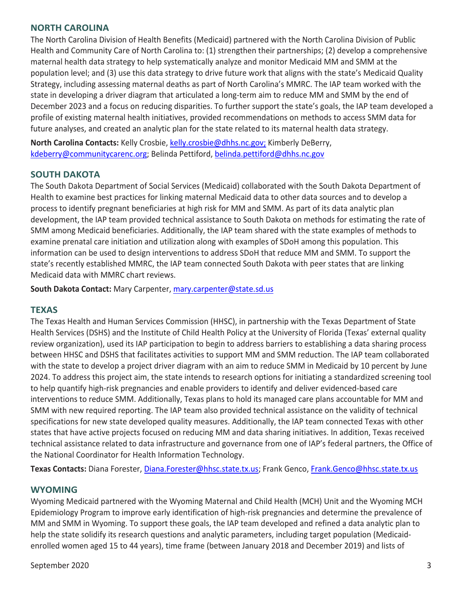# **NORTH CAROLINA**

The North Carolina Division of Health Benefits (Medicaid) partnered with the North Carolina Division of Public Health and Community Care of North Carolina to: (1) strengthen their partnerships; (2) develop a comprehensive maternal health data strategy to help systematically analyze and monitor Medicaid MM and SMM at the population level; and (3) use this data strategy to drive future work that aligns with the state's Medicaid Quality Strategy, including assessing maternal deaths as part of North Carolina's MMRC. The IAP team worked with the state in developing a driver diagram that articulated a long-term aim to reduce MM and SMM by the end of December 2023 and a focus on reducing disparities. To further support the state's goals, the IAP team developed a profile of existing maternal health initiatives, provided recommendations on methods to access SMM data for future analyses, and created an analytic plan for the state related to its maternal health data strategy.

**North Carolina Contacts:** Kelly Crosbie, [kelly.crosbie@dhhs.nc.gov;](mailto:kelly.crosbie@dhhs.nc.gov) Kimberly DeBerry, [kdeberry@communitycarenc.org;](mailto:kdeberry@communitycarenc.org) Belinda Pettiford, [belinda.pettiford@dhhs.nc.gov](mailto:belinda.pettiford@dhhs.nc.gov)

# **SOUTH DAKOTA**

The South Dakota Department of Social Services (Medicaid) collaborated with the South Dakota Department of Health to examine best practices for linking maternal Medicaid data to other data sources and to develop a process to identify pregnant beneficiaries at high risk for MM and SMM. As part of its data analytic plan development, the IAP team provided technical assistance to South Dakota on methods for estimating the rate of SMM among Medicaid beneficiaries. Additionally, the IAP team shared with the state examples of methods to examine prenatal care initiation and utilization along with examples of SDoH among this population. This information can be used to design interventions to address SDoH that reduce MM and SMM. To support the state's recently established MMRC, the IAP team connected South Dakota with peer states that are linking Medicaid data with MMRC chart reviews.

**South Dakota Contact:** Mary Carpenter, [mary.carpenter@state.sd.us](mailto:mary.carpenter@state.sd.us)

# **TEXAS**

The Texas Health and Human Services Commission (HHSC), in partnership with the Texas Department of State Health Services (DSHS) and the Institute of Child Health Policy at the University of Florida (Texas' external quality review organization), used its IAP participation to begin to address barriers to establishing a data sharing process between HHSC and DSHS that facilitates activities to support MM and SMM reduction. The IAP team collaborated with the state to develop a project driver diagram with an aim to reduce SMM in Medicaid by 10 percent by June 2024. To address this project aim, the state intends to research options for initiating a standardized screening tool to help quantify high-risk pregnancies and enable providers to identify and deliver evidenced-based care interventions to reduce SMM. Additionally, Texas plans to hold its managed care plans accountable for MM and SMM with new required reporting. The IAP team also provided technical assistance on the validity of technical specifications for new state developed quality measures. Additionally, the IAP team connected Texas with other states that have active projects focused on reducing MM and data sharing initiatives. In addition, Texas received technical assistance related to data infrastructure and governance from one of IAP's federal partners, the Office of the National Coordinator for Health Information Technology.

**Texas Contacts:** Diana Forester, [Diana.Forester@hhsc.state.tx.us;](mailto:Diana.Forester@hhsc.state.tx.us) Frank Genco[, Frank.Genco@hhsc.state.tx.us](mailto:Frank.Genco@hhsc.state.tx.us)

# **WYOMING**

Wyoming Medicaid partnered with the Wyoming Maternal and Child Health (MCH) Unit and the Wyoming MCH Epidemiology Program to improve early identification of high-risk pregnancies and determine the prevalence of MM and SMM in Wyoming. To support these goals, the IAP team developed and refined a data analytic plan to help the state solidify its research questions and analytic parameters, including target population (Medicaidenrolled women aged 15 to 44 years), time frame (between January 2018 and December 2019) and lists of